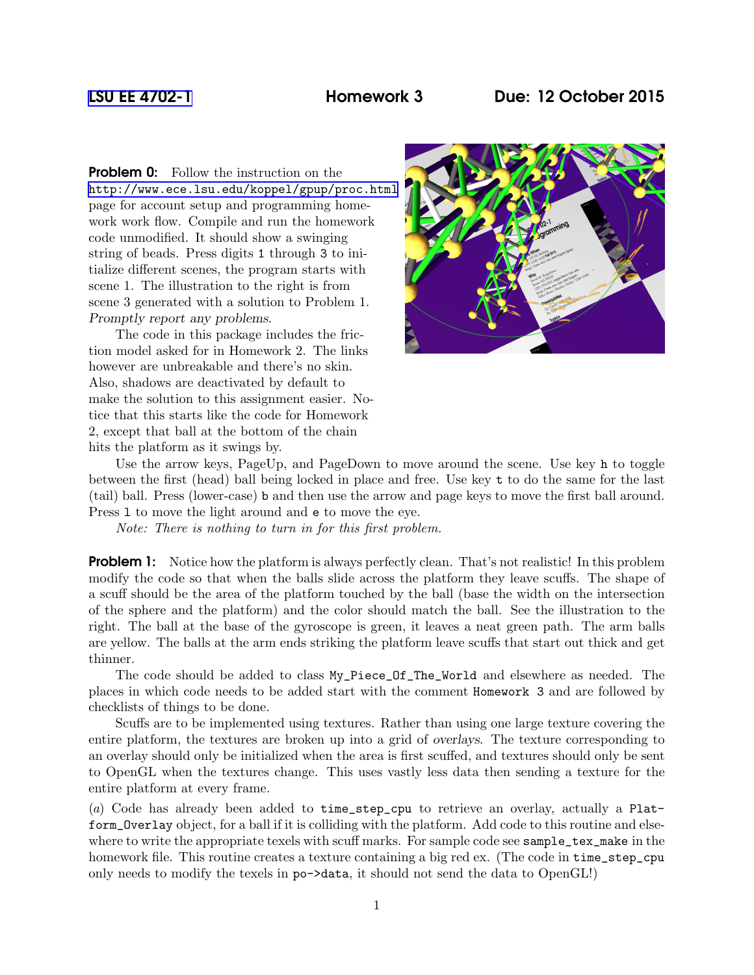**Problem 0:** Follow the instruction on the <http://www.ece.lsu.edu/koppel/gpup/proc.html> page for account setup and programming homework work flow. Compile and run the homework code unmodified. It should show a swinging string of beads. Press digits 1 through 3 to initialize different scenes, the program starts with scene 1. The illustration to the right is from scene 3 generated with a solution to Problem 1. Promptly report any problems.

The code in this package includes the friction model asked for in Homework 2. The links however are unbreakable and there's no skin. Also, shadows are deactivated by default to make the solution to this assignment easier. Notice that this starts like the code for Homework 2, except that ball at the bottom of the chain hits the platform as it swings by.



Use the arrow keys, PageUp, and PageDown to move around the scene. Use key h to toggle between the first (head) ball being locked in place and free. Use key t to do the same for the last (tail) ball. Press (lower-case) b and then use the arrow and page keys to move the first ball around. Press l to move the light around and e to move the eye.

Note: There is nothing to turn in for this first problem.

**Problem 1:** Notice how the platform is always perfectly clean. That's not realistic! In this problem modify the code so that when the balls slide across the platform they leave scuffs. The shape of a scuff should be the area of the platform touched by the ball (base the width on the intersection of the sphere and the platform) and the color should match the ball. See the illustration to the right. The ball at the base of the gyroscope is green, it leaves a neat green path. The arm balls are yellow. The balls at the arm ends striking the platform leave scuffs that start out thick and get thinner.

The code should be added to class My\_Piece\_Of\_The\_World and elsewhere as needed. The places in which code needs to be added start with the comment Homework 3 and are followed by checklists of things to be done.

Scuffs are to be implemented using textures. Rather than using one large texture covering the entire platform, the textures are broken up into a grid of overlays. The texture corresponding to an overlay should only be initialized when the area is first scuffed, and textures should only be sent to OpenGL when the textures change. This uses vastly less data then sending a texture for the entire platform at every frame.

(a) Code has already been added to time\_step\_cpu to retrieve an overlay, actually a Platform\_Overlay object, for a ball if it is colliding with the platform. Add code to this routine and elsewhere to write the appropriate texels with scuff marks. For sample code see sample\_tex\_make in the homework file. This routine creates a texture containing a big red ex. (The code in time\_step\_cpu only needs to modify the texels in po->data, it should not send the data to OpenGL!)